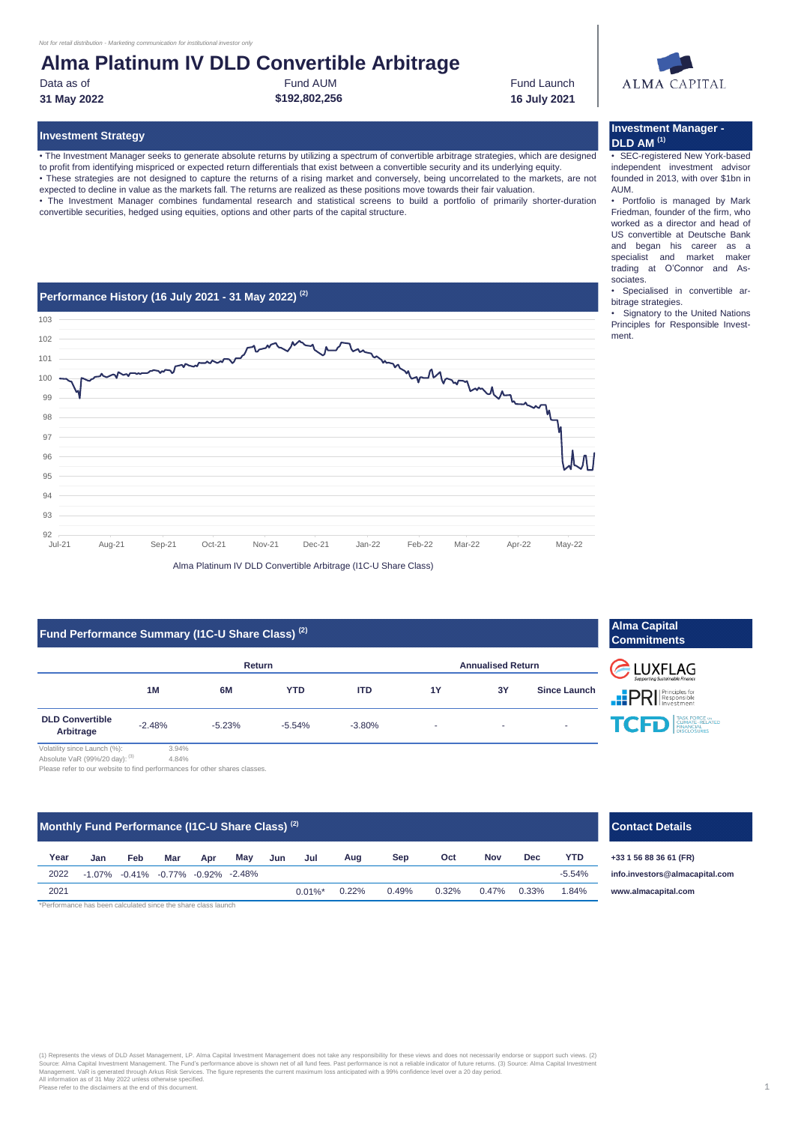# **Alma Platinum IV DLD Convertible Arbitrage**

Data as of

Fund AUM **\$192,802,256**

Fund Launch **31 May 2022 16 July 2021**

# ALMA CAPITAL

**Investment Manager -** 

**DLD AM (1)**

# **Investment Strategy**

• The Investment Manager seeks to generate absolute returns by utilizing a spectrum of convertible arbitrage strategies, which are designed to profit from identifying mispriced or expected return differentials that exist between a convertible security and its underlying equity.

• These strategies are not designed to capture the returns of a rising market and conversely, being uncorrelated to the markets, are not expected to decline in value as the markets fall. The returns are realized as these positions move towards their fair valuation.

• The Investment Manager combines fundamental research and statistical screens to build a portfolio of primarily shorter-duration convertible securities, hedged using equities, options and other parts of the capital structure.



# **Fund Performance Summary (I1C-U Share Class) (2)**

|                                     |          | Return   |            | <b>Annualised Return</b> |    |    |                     |  |
|-------------------------------------|----------|----------|------------|--------------------------|----|----|---------------------|--|
|                                     | 1M       | 6M       | <b>YTD</b> | <b>ITD</b>               | 1Y | 3Υ | <b>Since Launch</b> |  |
| <b>DLD Convertible</b><br>Arbitrage | $-2.48%$ | $-5.23%$ | $-5.54%$   | $-3.80%$                 | ٠  | ٠  |                     |  |

**Commitments ELUXFLAG** 

**Alma Capital** 

**PRI** Principles for **TCP** EINANCAL EINANCAL

Volatility since Launch (%): 3.94% Absolute VaR (99%/20 day): (3) 4.84%

Please refer to our website to find performances for other shares classes.

# **Monthly Fund Performance (I1C-U Share Class) (2)**

| Year | Jan | Feb                                               | Mar | Apr | May | Jun | Jul        | Aug   | Sep   | Oct   | Nov   | <b>Dec</b> | YTD      |
|------|-----|---------------------------------------------------|-----|-----|-----|-----|------------|-------|-------|-------|-------|------------|----------|
| 2022 |     | $-1.07\%$ $-0.41\%$ $-0.77\%$ $-0.92\%$ $-2.48\%$ |     |     |     |     |            |       |       |       |       |            | $-5.54%$ |
| 2021 |     |                                                   |     |     |     |     | $0.01\%$ * | 0.22% | 0.49% | 0.32% | 0.47% | 0.33%      | 1.84%    |

#### \*Performance has been calculated since the share class launch

(1) Represents the views of DLD Asset Management, LP. Alma Capital Investment Management does not nest views and gest in encessarily endorse or support such views. (2)<br>Source: Alma Capital Investment Management, The Fund's

# **Contact Details**

**+33 1 56 88 36 61 (FR) [www.a](http://www.almacapital.com/)lmacapital.com [info.in](mailto:info.investors@almacapital.com)vestors@almacapital.com**

### 1

• SEC-registered New York-based independent investment advisor founded in 2013, with over \$1bn in AUM.

• Portfolio is managed by Mark Friedman, founder of the firm, who worked as a director and head of US convertible at Deutsche Bank and began his career as a specialist and market maker trading at O'Connor and Associates.

• Specialised in convertible arbitrage strategies.

• Signatory to the United Nations Principles for Responsible Investment.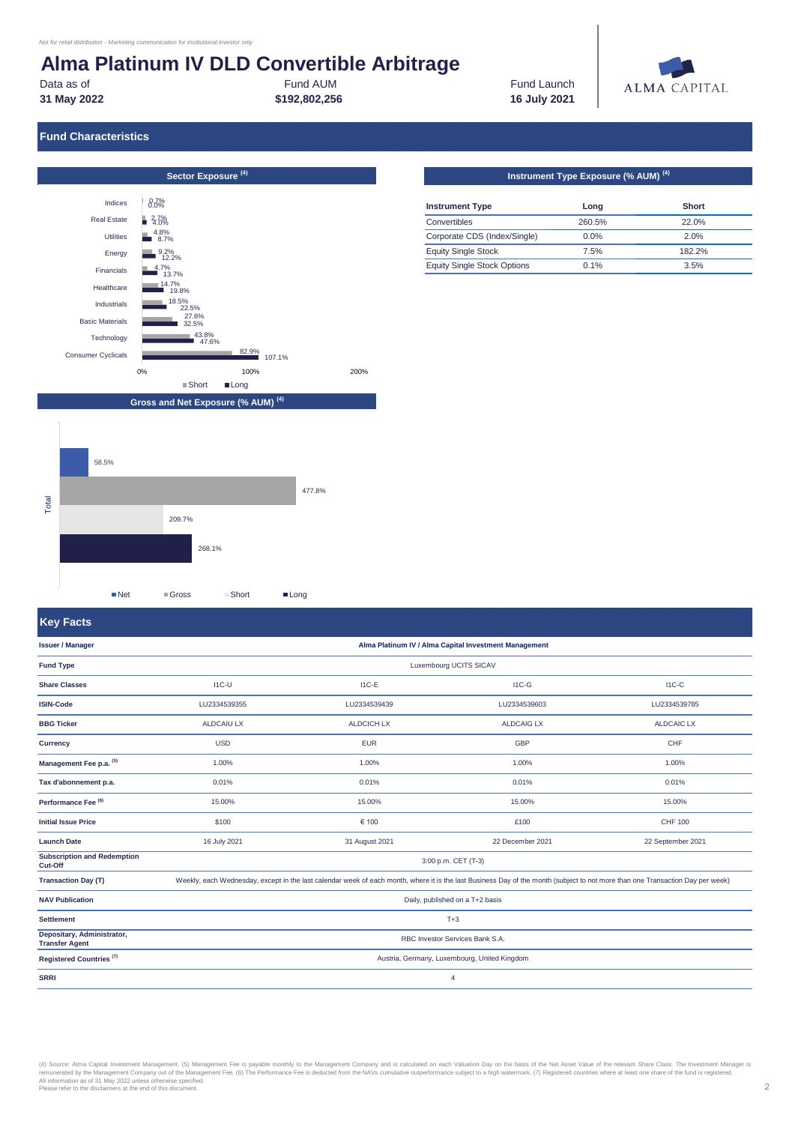# **Alma Platinum IV DLD Convertible Arbitrage**

**31 May 2022**

Data as of **Fund Launch Fund AUM Fund Launch Research AUM Fund Launch** Fund AUM

**\$192,802,256 16 July 2021**



# **Fund Characteristics**



| <b>Instrument Type</b>             | Long   | <b>Short</b> |
|------------------------------------|--------|--------------|
| Convertibles                       | 260.5% | 22.0%        |
| Corporate CDS (Index/Single)       | 0.0%   | 2.0%         |
| <b>Equity Single Stock</b>         | 7.5%   | 182.2%       |
| <b>Equity Single Stock Options</b> | 0.1%   | 3.5%         |



# **Key Facts**

**Registered Countries (7) Fund Type Alma Platinum IV / Alma Capital Investment Management** Luxembourg UCITS SICAV **Management Fee p.a. (5) Tax d'abonnement p.a.** 1.00% 0.01% LU2334539355 ALDCAIU LX USD **Settlement Depositary, Administrator, Transfer Agent NAV Publication Transaction Day (T) BBG Ticker Currency** I1C-U I1C-E I1C-G I1C-C LU2334539785 ALDCAIC LX CHF 1.00% 0.01% LU2334539603 ALDCAIG LX GBP 1.00% 0.01% LU2334539439 ALDCICH LX EUR 1.00% 0.01% **Subscription and Redemption Cut-Off Performance Fee (6)** Daily, published on a T+2 basis T+3 RBC Investor Services Bank S.A. Austria, Germany, Luxembourg, United Kingdom 4 15.00% £100 3:00 p.m. CET (T-3) Weekly, each Wednesday, except in the last calendar week of each month, where it is the last Business Day of the month (subject to not more than one Transaction Day per week) 15.00% CHF 100 22 September 2021 15.00% \$100 16 July 2021 22 December 2021 15.00% 31 August 2021 **SRRI Share Classes ISIN-Code Issuer / Manager Initial Issue Price Launch Date** € 100

(4) Source: Alma Capital Investment Management. (5) Management Fee is payable monthly to the Management Company and is calculated on each Valuation Day on the basis of the Net Asset Value of the relevant Share Class. The I